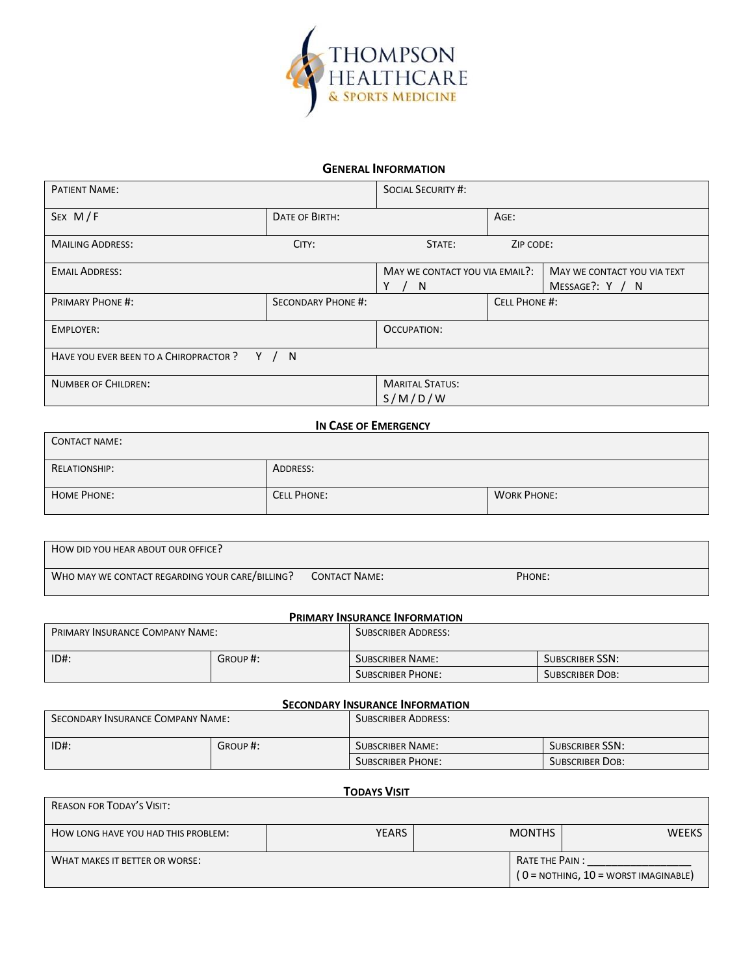

#### **GENERAL INFORMATION**

| <b>PATIENT NAME:</b>                         |                           | <b>SOCIAL SECURITY #:</b>                |                      |                                                  |
|----------------------------------------------|---------------------------|------------------------------------------|----------------------|--------------------------------------------------|
| SEX M/F                                      | DATE OF BIRTH:            |                                          | AGE:                 |                                                  |
| <b>MAILING ADDRESS:</b>                      | CITY:                     | STATE:                                   | ZIP CODE:            |                                                  |
| <b>EMAIL ADDRESS:</b>                        |                           | MAY WE CONTACT YOU VIA EMAIL?:<br>Y<br>N |                      | MAY WE CONTACT YOU VIA TEXT<br>MESSAGE?: $Y / N$ |
| <b>PRIMARY PHONE #:</b>                      | <b>SECONDARY PHONE #:</b> |                                          | <b>CELL PHONE #:</b> |                                                  |
| EMPLOYER:                                    |                           | OCCUPATION:                              |                      |                                                  |
| HAVE YOU EVER BEEN TO A CHIROPRACTOR ? Y / N |                           |                                          |                      |                                                  |
| <b>NUMBER OF CHILDREN:</b>                   |                           | <b>MARITAL STATUS:</b><br>S/M/D/W        |                      |                                                  |

#### **IN CASE OF EMERGENCY**

| CONTACT NAME:      |                    |                    |
|--------------------|--------------------|--------------------|
| RELATIONSHIP:      | ADDRESS:           |                    |
| <b>HOME PHONE:</b> | <b>CELL PHONE:</b> | <b>WORK PHONE:</b> |

| HOW DID YOU HEAR ABOUT OUR OFFICE?              |                      |        |
|-------------------------------------------------|----------------------|--------|
| WHO MAY WE CONTACT REGARDING YOUR CARE/BILLING? | <b>CONTACT NAME:</b> | PHONE: |

| <b>PRIMARY INSURANCE INFORMATION</b> |         |                            |                        |
|--------------------------------------|---------|----------------------------|------------------------|
| PRIMARY INSURANCE COMPANY NAME:      |         | <b>SUBSCRIBER ADDRESS:</b> |                        |
|                                      |         |                            |                        |
| $ID#$ :                              | GROUP#: | <b>SUBSCRIBER NAME:</b>    | <b>SUBSCRIBER SSN:</b> |
|                                      |         | <b>SUBSCRIBER PHONE:</b>   | <b>SUBSCRIBER DOB:</b> |

| <b>SECONDARY INSURANCE INFORMATION</b>                          |          |                          |                        |
|-----------------------------------------------------------------|----------|--------------------------|------------------------|
| SECONDARY INSURANCE COMPANY NAME:<br><b>SUBSCRIBER ADDRESS:</b> |          |                          |                        |
| $ID#$ :                                                         | GROUP #: | <b>SUBSCRIBER NAME:</b>  | <b>SUBSCRIBER SSN:</b> |
|                                                                 |          | <b>SUBSCRIBER PHONE:</b> | <b>SUBSCRIBER DOB:</b> |

| <b>TODAYS VISIT</b>                 |              |                 |                                                      |
|-------------------------------------|--------------|-----------------|------------------------------------------------------|
| <b>REASON FOR TODAY'S VISIT:</b>    |              |                 |                                                      |
|                                     |              |                 |                                                      |
| HOW LONG HAVE YOU HAD THIS PROBLEM: | <b>YEARS</b> | <b>MONTHS</b>   | <b>WEEKS</b>                                         |
|                                     |              |                 |                                                      |
| WHAT MAKES IT BETTER OR WORSE:      |              | RATE THE PAIN : |                                                      |
|                                     |              |                 | $(0 = \text{NOTHING}, 10 = \text{WORST IMAGINABLE})$ |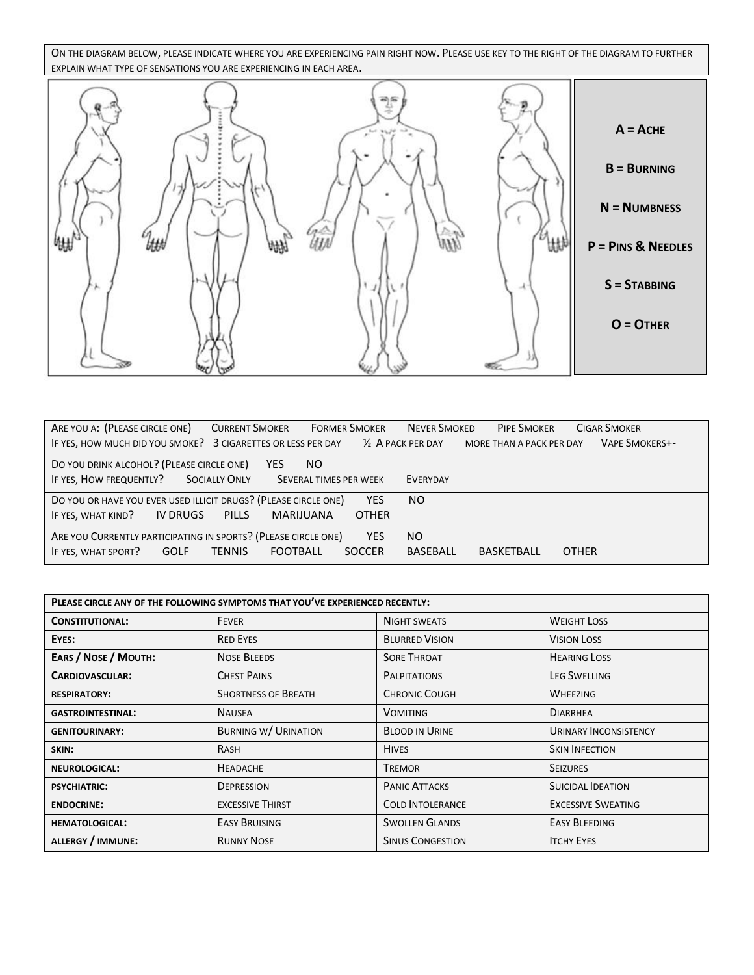ON THE DIAGRAM BELOW, PLEASE INDICATE WHERE YOU ARE EXPERIENCING PAIN RIGHT NOW. PLEASE USE KEY TO THE RIGHT OF THE DIAGRAM TO FURTHER EXPLAIN WHAT TYPE OF SENSATIONS YOU ARE EXPERIENCING IN EACH AREA.



| ARE YOU A: (PLEASE CIRCLE ONE)<br><b>CURRENT SMOKER</b>         | <b>FORMER SMOKER</b>             | NEVER SMOKED<br><b>PIPE SMOKER</b> | <b>CIGAR SMOKER</b>   |
|-----------------------------------------------------------------|----------------------------------|------------------------------------|-----------------------|
| IF YES, HOW MUCH DID YOU SMOKE? 3 CIGARETTES OR LESS PER DAY    | $\frac{1}{2}$ A pack per DAY     | MORE THAN A PACK PER DAY           | <b>VAPE SMOKERS+-</b> |
| DO YOU DRINK ALCOHOL? (PLEASE CIRCLE ONE)                       | <b>YES</b><br>NO.                |                                    |                       |
| IF YES, HOW FREQUENTLY?<br><b>SOCIALLY ONLY</b>                 | SEVERAL TIMES PER WEEK           | EVERYDAY                           |                       |
| DO YOU OR HAVE YOU EVER USED ILLICIT DRUGS? (PLEASE CIRCLE ONE) | <b>YES</b>                       | NO.                                |                       |
| IV DRUGS<br><b>PILLS</b><br>IF YES, WHAT KIND?                  | <b>OTHER</b><br>MARIJUANA        |                                    |                       |
| ARE YOU CURRENTLY PARTICIPATING IN SPORTS? (PLEASE CIRCLE ONE)  | <b>YES</b>                       | NO.                                |                       |
| IF YES, WHAT SPORT?<br><b>GOLF</b><br><b>TENNIS</b>             | <b>SOCCER</b><br><b>FOOTBALL</b> | <b>BASEBALL</b><br>BASKETBALL      | <b>OTHER</b>          |

| PLEASE CIRCLE ANY OF THE FOLLOWING SYMPTOMS THAT YOU'VE EXPERIENCED RECENTLY: |                             |                         |                              |
|-------------------------------------------------------------------------------|-----------------------------|-------------------------|------------------------------|
| <b>CONSTITUTIONAL:</b>                                                        | <b>FEVER</b>                | <b>NIGHT SWEATS</b>     | <b>WEIGHT LOSS</b>           |
| EYES:                                                                         | <b>RED EYES</b>             | <b>BLURRED VISION</b>   | <b>VISION LOSS</b>           |
| EARS / NOSE / MOUTH:                                                          | <b>NOSE BLEEDS</b>          | <b>SORE THROAT</b>      | <b>HEARING LOSS</b>          |
| <b>CARDIOVASCULAR:</b>                                                        | <b>CHEST PAINS</b>          | <b>PALPITATIONS</b>     | <b>LEG SWELLING</b>          |
| <b>RESPIRATORY:</b>                                                           | <b>SHORTNESS OF BREATH</b>  | <b>CHRONIC COUGH</b>    | <b>WHEEZING</b>              |
| <b>GASTROINTESTINAL:</b>                                                      | <b>NAUSEA</b>               | <b>VOMITING</b>         | <b>DIARRHEA</b>              |
| <b>GENITOURINARY:</b>                                                         | <b>BURNING W/ URINATION</b> | <b>BLOOD IN URINE</b>   | <b>URINARY INCONSISTENCY</b> |
| SKIN:                                                                         | RASH                        | <b>HIVES</b>            | <b>SKIN INFECTION</b>        |
| <b>NEUROLOGICAL:</b>                                                          | <b>HEADACHE</b>             | <b>TREMOR</b>           | <b>SEIZURES</b>              |
| <b>PSYCHIATRIC:</b>                                                           | DEPRESSION                  | <b>PANIC ATTACKS</b>    | <b>SUICIDAL IDEATION</b>     |
| <b>ENDOCRINE:</b>                                                             | <b>EXCESSIVE THIRST</b>     | <b>COLD INTOLERANCE</b> | <b>EXCESSIVE SWEATING</b>    |
| <b>HEMATOLOGICAL:</b>                                                         | <b>EASY BRUISING</b>        | <b>SWOLLEN GLANDS</b>   | <b>EASY BLEEDING</b>         |
| ALLERGY / IMMUNE:                                                             | <b>RUNNY NOSE</b>           | <b>SINUS CONGESTION</b> | <b>ITCHY EYES</b>            |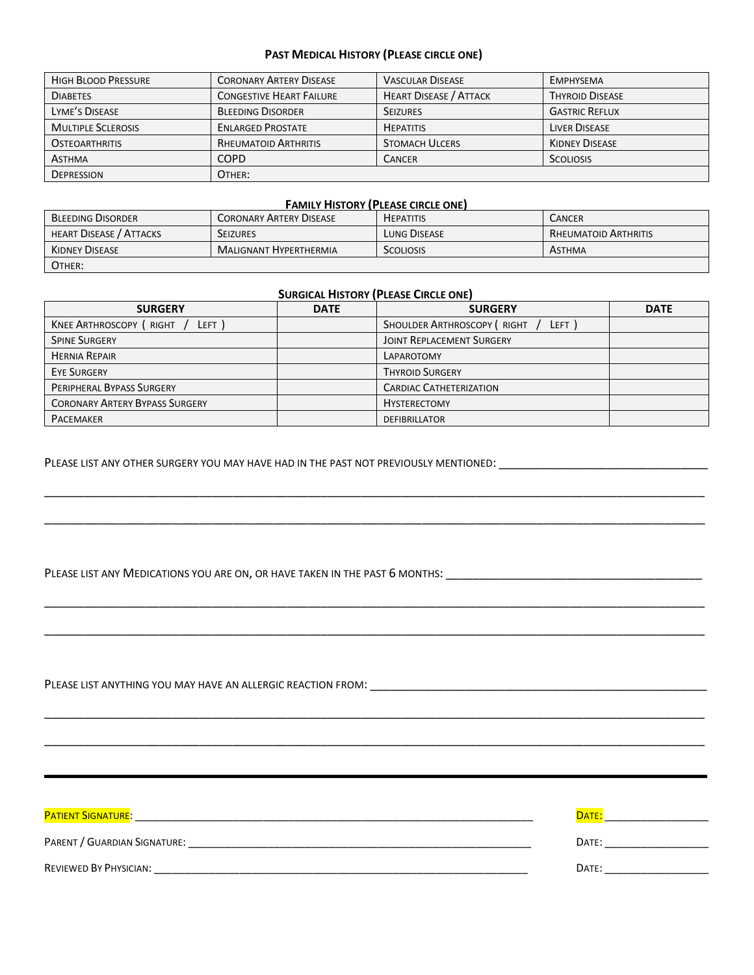#### **PAST MEDICAL HISTORY (PLEASE CIRCLE ONE)**

| <b>HIGH BLOOD PRESSURE</b> | <b>CORONARY ARTERY DISEASE</b>  | <b>VASCULAR DISEASE</b>       | EMPHYSEMA              |
|----------------------------|---------------------------------|-------------------------------|------------------------|
| <b>DIABETES</b>            | <b>CONGESTIVE HEART FAILURE</b> | <b>HEART DISEASE / ATTACK</b> | <b>THYROID DISEASE</b> |
| LYME'S DISEASE             | <b>BLEEDING DISORDER</b>        | <b>SEIZURES</b>               | <b>GASTRIC REFLUX</b>  |
| <b>MULTIPLE SCLEROSIS</b>  | <b>ENLARGED PROSTATE</b>        | <b>HEPATITIS</b>              | LIVER DISEASE          |
| <b>OSTEOARTHRITIS</b>      | <b>RHEUMATOID ARTHRITIS</b>     | <b>STOMACH ULCERS</b>         | <b>KIDNEY DISEASE</b>  |
| <b>ASTHMA</b>              | <b>COPD</b>                     | <b>CANCER</b>                 | <b>SCOLIOSIS</b>       |
| <b>DEPRESSION</b>          | OTHER:                          |                               |                        |

#### **FAMILY HISTORY (PLEASE CIRCLE ONE)**

| <b>BLEEDING DISORDER</b>       | CORONARY ARTERY DISEASE       | <b>HEPATITIS</b> | CANCER                      |
|--------------------------------|-------------------------------|------------------|-----------------------------|
| <b>HEART DISEASE / ATTACKS</b> | <b>SEIZURES</b>               | Lung Disease     | <b>RHEUMATOID ARTHRITIS</b> |
| KIDNEY DISEASE                 | <b>MALIGNANT HYPERTHERMIA</b> | <b>SCOLIOSIS</b> | <b>ASTHMA</b>               |
| OTHER:                         |                               |                  |                             |

#### **SURGICAL HISTORY (PLEASE CIRCLE ONE)**

| <b>SURGERY</b>                                  | <b>DATE</b> | <b>SURGERY</b>                             | <b>DATE</b> |
|-------------------------------------------------|-------------|--------------------------------------------|-------------|
| <b>KNEE ARTHROSCOPY</b><br>LEFT<br><b>RIGHT</b> |             | <b>SHOULDER ARTHROSCOPY (RIGHT</b><br>LEFT |             |
| <b>SPINE SURGERY</b>                            |             | <b>JOINT REPLACEMENT SURGERY</b>           |             |
| <b>HERNIA REPAIR</b>                            |             | LAPAROTOMY                                 |             |
| <b>EYE SURGERY</b>                              |             | <b>THYROID SURGERY</b>                     |             |
| PERIPHERAL BYPASS SURGERY                       |             | <b>CARDIAC CATHETERIZATION</b>             |             |
| <b>CORONARY ARTERY BYPASS SURGERY</b>           |             | <b>HYSTERECTOMY</b>                        |             |
| <b>PACEMAKER</b>                                |             | <b>DEFIBRILLATOR</b>                       |             |

\_\_\_\_\_\_\_\_\_\_\_\_\_\_\_\_\_\_\_\_\_\_\_\_\_\_\_\_\_\_\_\_\_\_\_\_\_\_\_\_\_\_\_\_\_\_\_\_\_\_\_\_\_\_\_\_\_\_\_\_\_\_\_\_\_\_\_\_\_\_\_\_\_\_\_\_\_\_\_\_\_\_\_\_\_\_\_\_\_\_\_\_\_\_\_\_\_\_

\_\_\_\_\_\_\_\_\_\_\_\_\_\_\_\_\_\_\_\_\_\_\_\_\_\_\_\_\_\_\_\_\_\_\_\_\_\_\_\_\_\_\_\_\_\_\_\_\_\_\_\_\_\_\_\_\_\_\_\_\_\_\_\_\_\_\_\_\_\_\_\_\_\_\_\_\_\_\_\_\_\_\_\_\_\_\_\_\_\_\_\_\_\_\_\_\_\_

\_\_\_\_\_\_\_\_\_\_\_\_\_\_\_\_\_\_\_\_\_\_\_\_\_\_\_\_\_\_\_\_\_\_\_\_\_\_\_\_\_\_\_\_\_\_\_\_\_\_\_\_\_\_\_\_\_\_\_\_\_\_\_\_\_\_\_\_\_\_\_\_\_\_\_\_\_\_\_\_\_\_\_\_\_\_\_\_\_\_\_\_\_\_\_\_\_\_

\_\_\_\_\_\_\_\_\_\_\_\_\_\_\_\_\_\_\_\_\_\_\_\_\_\_\_\_\_\_\_\_\_\_\_\_\_\_\_\_\_\_\_\_\_\_\_\_\_\_\_\_\_\_\_\_\_\_\_\_\_\_\_\_\_\_\_\_\_\_\_\_\_\_\_\_\_\_\_\_\_\_\_\_\_\_\_\_\_\_\_\_\_\_\_\_\_\_

\_\_\_\_\_\_\_\_\_\_\_\_\_\_\_\_\_\_\_\_\_\_\_\_\_\_\_\_\_\_\_\_\_\_\_\_\_\_\_\_\_\_\_\_\_\_\_\_\_\_\_\_\_\_\_\_\_\_\_\_\_\_\_\_\_\_\_\_\_\_\_\_\_\_\_\_\_\_\_\_\_\_\_\_\_\_\_\_\_\_\_\_\_\_\_\_\_\_

\_\_\_\_\_\_\_\_\_\_\_\_\_\_\_\_\_\_\_\_\_\_\_\_\_\_\_\_\_\_\_\_\_\_\_\_\_\_\_\_\_\_\_\_\_\_\_\_\_\_\_\_\_\_\_\_\_\_\_\_\_\_\_\_\_\_\_\_\_\_\_\_\_\_\_\_\_\_\_\_\_\_\_\_\_\_\_\_\_\_\_\_\_\_\_\_\_\_

PLEASE LIST ANY OTHER SURGERY YOU MAY HAVE HAD IN THE PAST NOT PREVIOUSLY MENTIONED: \_\_\_\_\_\_\_\_\_\_\_\_\_\_\_\_\_\_\_\_\_\_\_\_\_

PLEASE LIST ANY MEDICATIONS YOU ARE ON, OR HAVE TAKEN IN THE PAST 6 MONTHS: \_\_\_\_\_\_\_\_\_\_\_\_\_\_\_\_\_\_\_\_\_\_\_\_\_\_\_\_\_\_\_\_\_\_\_\_\_\_

PLEASE LIST ANYTHING YOU MAY HAVE AN ALLERGIC REACTION FROM:

PATIENT SIGNATURE: \_\_\_\_\_\_\_\_\_\_\_\_\_\_\_\_\_\_\_\_\_\_\_\_\_\_\_\_\_\_\_\_\_\_\_\_\_\_\_\_\_\_\_\_\_\_\_\_\_\_\_\_\_\_\_\_\_\_\_\_\_\_\_\_\_ DATE: \_\_\_\_\_\_\_\_\_\_\_\_\_\_\_\_\_ PARENT / GUARDIAN SIGNATURE: \_\_\_\_\_\_\_\_\_\_\_\_\_\_\_\_\_\_\_\_\_\_\_\_\_\_\_\_\_\_\_\_\_\_\_\_\_\_\_\_\_\_\_\_\_\_\_\_\_\_\_\_\_\_\_\_ DATE: \_\_\_\_\_\_\_\_\_\_\_\_\_\_\_\_\_ REVIEWED BY PHYSICIAN: \_\_\_\_\_\_\_\_\_\_\_\_\_\_\_\_\_\_\_\_\_\_\_\_\_\_\_\_\_\_\_\_\_\_\_\_\_\_\_\_\_\_\_\_\_\_\_\_\_\_\_\_\_\_\_\_\_\_\_\_\_ DATE: \_\_\_\_\_\_\_\_\_\_\_\_\_\_\_\_\_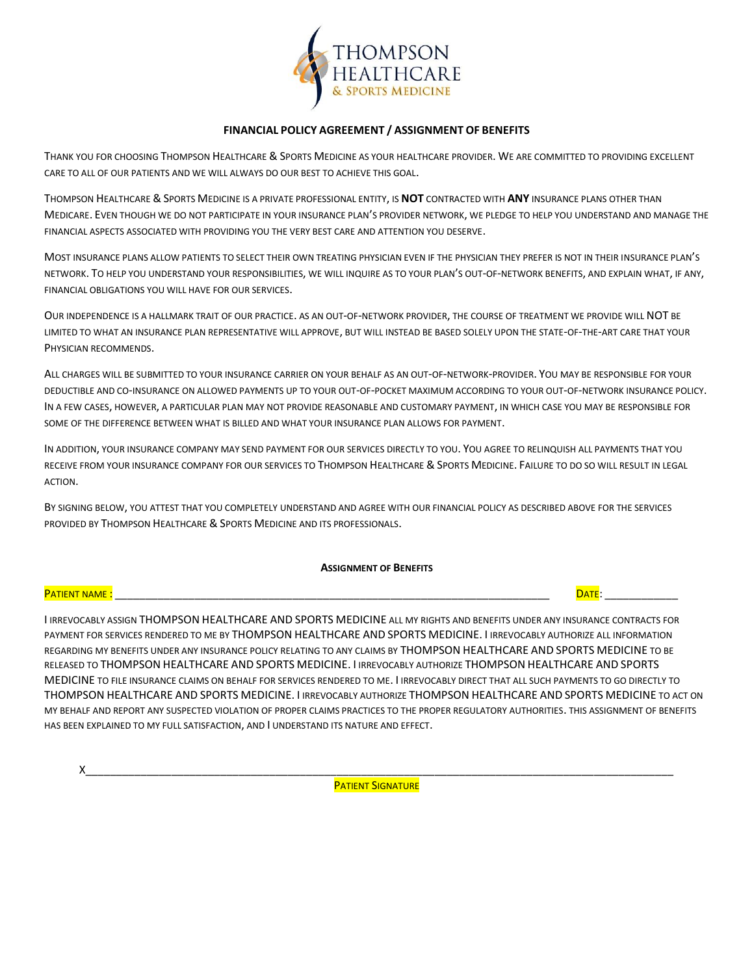

#### **FINANCIAL POLICY AGREEMENT / ASSIGNMENT OF BENEFITS**

THANK YOU FOR CHOOSING THOMPSON HEALTHCARE & SPORTS MEDICINE AS YOUR HEALTHCARE PROVIDER. WE ARE COMMITTED TO PROVIDING EXCELLENT CARE TO ALL OF OUR PATIENTS AND WE WILL ALWAYS DO OUR BEST TO ACHIEVE THIS GOAL.

THOMPSON HEALTHCARE & SPORTS MEDICINE IS A PRIVATE PROFESSIONAL ENTITY, IS **NOT** CONTRACTED WITH **ANY** INSURANCE PLANS OTHER THAN MEDICARE. EVEN THOUGH WE DO NOT PARTICIPATE IN YOUR INSURANCE PLAN'S PROVIDER NETWORK, WE PLEDGE TO HELP YOU UNDERSTAND AND MANAGE THE FINANCIAL ASPECTS ASSOCIATED WITH PROVIDING YOU THE VERY BEST CARE AND ATTENTION YOU DESERVE.

MOST INSURANCE PLANS ALLOW PATIENTS TO SELECT THEIR OWN TREATING PHYSICIAN EVEN IF THE PHYSICIAN THEY PREFER IS NOT IN THEIR INSURANCE PLAN'S NETWORK. TO HELP YOU UNDERSTAND YOUR RESPONSIBILITIES, WE WILL INQUIRE AS TO YOUR PLAN'S OUT-OF-NETWORK BENEFITS, AND EXPLAIN WHAT, IF ANY, FINANCIAL OBLIGATIONS YOU WILL HAVE FOR OUR SERVICES.

OUR INDEPENDENCE IS A HALLMARK TRAIT OF OUR PRACTICE. AS AN OUT-OF-NETWORK PROVIDER, THE COURSE OF TREATMENT WE PROVIDE WILL NOT BE LIMITED TO WHAT AN INSURANCE PLAN REPRESENTATIVE WILL APPROVE, BUT WILL INSTEAD BE BASED SOLELY UPON THE STATE-OF-THE-ART CARE THAT YOUR PHYSICIAN RECOMMENDS.

ALL CHARGES WILL BE SUBMITTED TO YOUR INSURANCE CARRIER ON YOUR BEHALF AS AN OUT-OF-NETWORK-PROVIDER. YOU MAY BE RESPONSIBLE FOR YOUR DEDUCTIBLE AND CO-INSURANCE ON ALLOWED PAYMENTS UP TO YOUR OUT-OF-POCKET MAXIMUM ACCORDING TO YOUR OUT-OF-NETWORK INSURANCE POLICY. IN A FEW CASES, HOWEVER, A PARTICULAR PLAN MAY NOT PROVIDE REASONABLE AND CUSTOMARY PAYMENT, IN WHICH CASE YOU MAY BE RESPONSIBLE FOR SOME OF THE DIFFERENCE BETWEEN WHAT IS BILLED AND WHAT YOUR INSURANCE PLAN ALLOWS FOR PAYMENT.

IN ADDITION, YOUR INSURANCE COMPANY MAY SEND PAYMENT FOR OUR SERVICES DIRECTLY TO YOU. YOU AGREE TO RELINQUISH ALL PAYMENTS THAT YOU RECEIVE FROM YOUR INSURANCE COMPANY FOR OUR SERVICES TO THOMPSON HEALTHCARE & SPORTS MEDICINE. FAILURE TO DO SO WILL RESULT IN LEGAL ACTION.

BY SIGNING BELOW, YOU ATTEST THAT YOU COMPLETELY UNDERSTAND AND AGREE WITH OUR FINANCIAL POLICY AS DESCRIBED ABOVE FOR THE SERVICES PROVIDED BY THOMPSON HEALTHCARE & SPORTS MEDICINE AND ITS PROFESSIONALS.

#### **ASSIGNMENT OF BENEFITS**

#### PATIENT NAME : \_\_\_\_\_\_\_\_\_\_\_\_\_\_\_\_\_\_\_\_\_\_\_\_\_\_\_\_\_\_\_\_\_\_\_\_\_\_\_\_\_\_\_\_\_\_\_\_\_\_\_\_\_\_\_\_\_\_\_\_\_\_\_\_\_\_\_\_\_\_\_ DATE: \_\_\_\_\_\_\_\_\_\_\_\_

I IRREVOCABLY ASSIGN THOMPSON HEALTHCARE AND SPORTS MEDICINE ALL MY RIGHTS AND BENEFITS UNDER ANY INSURANCE CONTRACTS FOR PAYMENT FOR SERVICES RENDERED TO ME BY THOMPSON HEALTHCARE AND SPORTS MEDICINE. I IRREVOCABLY AUTHORIZE ALL INFORMATION REGARDING MY BENEFITS UNDER ANY INSURANCE POLICY RELATING TO ANY CLAIMS BY THOMPSON HEALTHCARE AND SPORTS MEDICINE TO BE RELEASED TO THOMPSON HEALTHCARE AND SPORTS MEDICINE. I IRREVOCABLY AUTHORIZE THOMPSON HEALTHCARE AND SPORTS MEDICINE TO FILE INSURANCE CLAIMS ON BEHALF FOR SERVICES RENDERED TO ME. I IRREVOCABLY DIRECT THAT ALL SUCH PAYMENTS TO GO DIRECTLY TO THOMPSON HEALTHCARE AND SPORTS MEDICINE. I IRREVOCABLY AUTHORIZE THOMPSON HEALTHCARE AND SPORTS MEDICINE TO ACT ON MY BEHALF AND REPORT ANY SUSPECTED VIOLATION OF PROPER CLAIMS PRACTICES TO THE PROPER REGULATORY AUTHORITIES. THIS ASSIGNMENT OF BENEFITS HAS BEEN EXPLAINED TO MY FULL SATISFACTION, AND I UNDERSTAND ITS NATURE AND EFFECT.

 ${\sf x}$  , and the contract of the contract of the contract of the contract of the contract of the contract of the contract of  ${\sf x}$ 

**PATIENT SIGNATURE**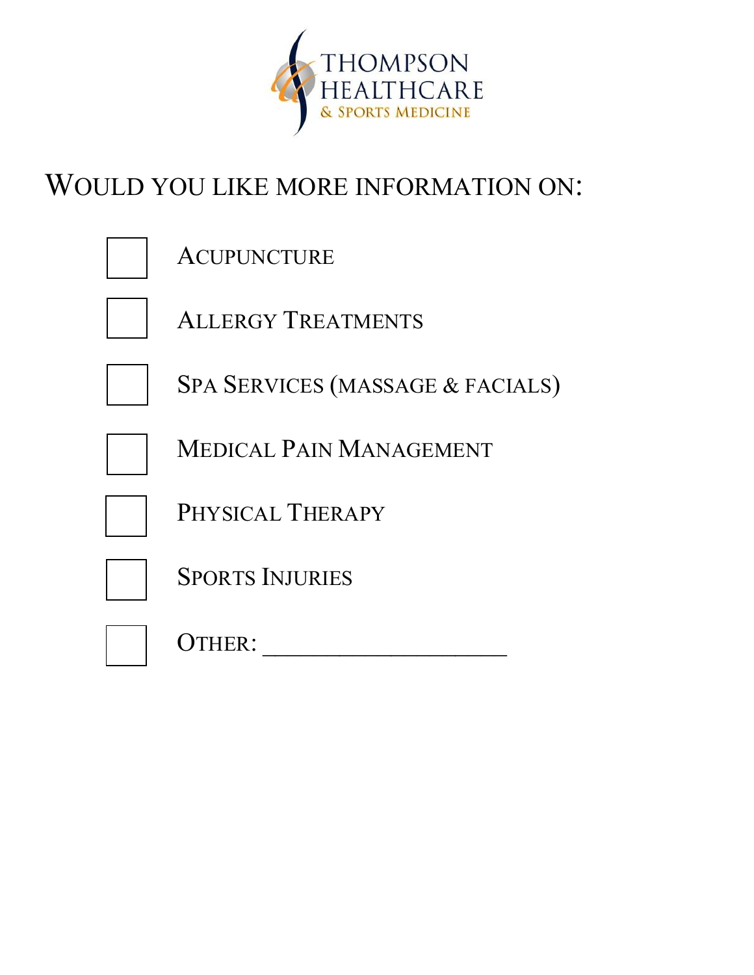

# WOULD YOU LIKE MORE INFORMATION ON:

| <b>ACUPUNCTURE</b>               |
|----------------------------------|
| <b>ALLERGY TREATMENTS</b>        |
| SPA SERVICES (MASSAGE & FACIALS) |
| <b>MEDICAL PAIN MANAGEMENT</b>   |
| PHYSICAL THERAPY                 |
| <b>SPORTS INJURIES</b>           |
| $O$ THER:                        |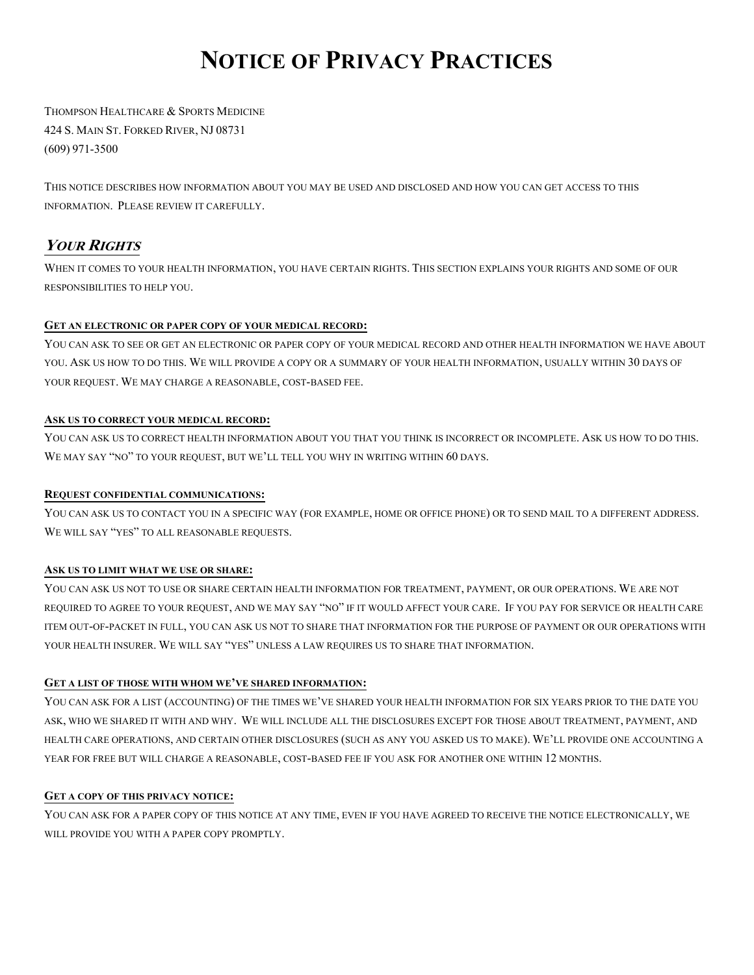## **NOTICE OF PRIVACY PRACTICES**

THOMPSON HEALTHCARE & SPORTS MEDICINE 424 S. MAIN ST. FORKED RIVER, NJ 08731 (609) 971-3500

THIS NOTICE DESCRIBES HOW INFORMATION ABOUT YOU MAY BE USED AND DISCLOSED AND HOW YOU CAN GET ACCESS TO THIS INFORMATION. PLEASE REVIEW IT CAREFULLY.

## **YOUR RIGHTS**

WHEN IT COMES TO YOUR HEALTH INFORMATION, YOU HAVE CERTAIN RIGHTS. THIS SECTION EXPLAINS YOUR RIGHTS AND SOME OF OUR RESPONSIBILITIES TO HELP YOU.

#### **GET AN ELECTRONIC OR PAPER COPY OF YOUR MEDICAL RECORD:**

YOU CAN ASK TO SEE OR GET AN ELECTRONIC OR PAPER COPY OF YOUR MEDICAL RECORD AND OTHER HEALTH INFORMATION WE HAVE ABOUT YOU. ASK US HOW TO DO THIS. WE WILL PROVIDE A COPY OR A SUMMARY OF YOUR HEALTH INFORMATION, USUALLY WITHIN 30 DAYS OF YOUR REQUEST. WE MAY CHARGE A REASONABLE, COST-BASED FEE.

#### **ASK US TO CORRECT YOUR MEDICAL RECORD:**

YOU CAN ASK US TO CORRECT HEALTH INFORMATION ABOUT YOU THAT YOU THINK IS INCORRECT OR INCOMPLETE. ASK US HOW TO DO THIS. WE MAY SAY "NO" TO YOUR REQUEST, BUT WE'LL TELL YOU WHY IN WRITING WITHIN 60 DAYS.

#### **REQUEST CONFIDENTIAL COMMUNICATIONS:**

YOU CAN ASK US TO CONTACT YOU IN A SPECIFIC WAY (FOR EXAMPLE, HOME OR OFFICE PHONE) OR TO SEND MAIL TO A DIFFERENT ADDRESS. WE WILL SAY "YES" TO ALL REASONABLE REQUESTS.

#### **ASK US TO LIMIT WHAT WE USE OR SHARE:**

YOU CAN ASK US NOT TO USE OR SHARE CERTAIN HEALTH INFORMATION FOR TREATMENT, PAYMENT, OR OUR OPERATIONS. WE ARE NOT REQUIRED TO AGREE TO YOUR REQUEST, AND WE MAY SAY "NO"IF IT WOULD AFFECT YOUR CARE. IF YOU PAY FOR SERVICE OR HEALTH CARE ITEM OUT-OF-PACKET IN FULL, YOU CAN ASK US NOT TO SHARE THAT INFORMATION FOR THE PURPOSE OF PAYMENT OR OUR OPERATIONS WITH YOUR HEALTH INSURER. WE WILL SAY "YES" UNLESS A LAW REQUIRES US TO SHARE THAT INFORMATION.

#### **GET A LIST OF THOSE WITH WHOM WE'VE SHARED INFORMATION:**

YOU CAN ASK FOR A LIST (ACCOUNTING) OF THE TIMES WE'VE SHARED YOUR HEALTH INFORMATION FOR SIX YEARS PRIOR TO THE DATE YOU ASK, WHO WE SHARED IT WITH AND WHY. WE WILL INCLUDE ALL THE DISCLOSURES EXCEPT FOR THOSE ABOUT TREATMENT, PAYMENT, AND HEALTH CARE OPERATIONS, AND CERTAIN OTHER DISCLOSURES (SUCH AS ANY YOU ASKED US TO MAKE). WE'LL PROVIDE ONE ACCOUNTING A YEAR FOR FREE BUT WILL CHARGE A REASONABLE, COST-BASED FEE IF YOU ASK FOR ANOTHER ONE WITHIN 12 MONTHS.

#### **GET A COPY OF THIS PRIVACY NOTICE:**

YOU CAN ASK FOR A PAPER COPY OF THIS NOTICE AT ANY TIME, EVEN IF YOU HAVE AGREED TO RECEIVE THE NOTICE ELECTRONICALLY, WE WILL PROVIDE YOU WITH A PAPER COPY PROMPTLY.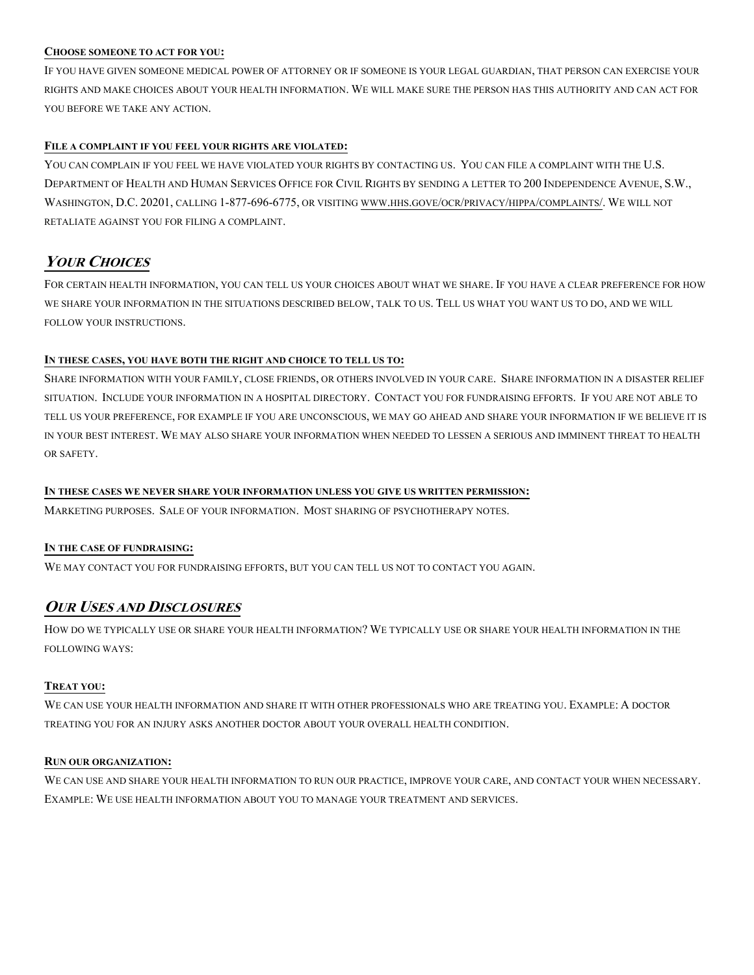#### **CHOOSE SOMEONE TO ACT FOR YOU:**

IF YOU HAVE GIVEN SOMEONE MEDICAL POWER OF ATTORNEY OR IF SOMEONE IS YOUR LEGAL GUARDIAN, THAT PERSON CAN EXERCISE YOUR RIGHTS AND MAKE CHOICES ABOUT YOUR HEALTH INFORMATION. WE WILL MAKE SURE THE PERSON HAS THIS AUTHORITY AND CAN ACT FOR YOU BEFORE WE TAKE ANY ACTION.

#### **FILE A COMPLAINT IF YOU FEEL YOUR RIGHTS ARE VIOLATED:**

YOU CAN COMPLAIN IF YOU FEEL WE HAVE VIOLATED YOUR RIGHTS BY CONTACTING US. YOU CAN FILE A COMPLAINT WITH THE U.S. DEPARTMENT OF HEALTH AND HUMAN SERVICES OFFICE FOR CIVIL RIGHTS BY SENDING A LETTER TO 200 INDEPENDENCE AVENUE, S.W., WASHINGTON, D.C. 20201, CALLING 1-877-696-6775, OR VISITING WWW.HHS.GOVE/OCR/PRIVACY/HIPPA/[COMPLAINTS](http://www.hhs.gove/ocr/privacy/hippa/complaints/)/. WE WILL NOT RETALIATE AGAINST YOU FOR FILING A COMPLAINT.

## **YOUR CHOICES**

FOR CERTAIN HEALTH INFORMATION, YOU CAN TELL US YOUR CHOICES ABOUT WHAT WE SHARE. IF YOU HAVE A CLEAR PREFERENCE FOR HOW WE SHARE YOUR INFORMATION IN THE SITUATIONS DESCRIBED BELOW, TALK TO US. TELL US WHAT YOU WANT US TO DO, AND WE WILL FOLLOW YOUR INSTRUCTIONS.

#### **IN THESE CASES, YOU HAVE BOTH THE RIGHT AND CHOICE TO TELL US TO:**

SHARE INFORMATION WITH YOUR FAMILY, CLOSE FRIENDS, OR OTHERS INVOLVED IN YOUR CARE. SHARE INFORMATION IN A DISASTER RELIEF SITUATION. INCLUDE YOUR INFORMATION IN A HOSPITAL DIRECTORY. CONTACT YOU FOR FUNDRAISING EFFORTS. IF YOU ARE NOT ABLE TO TELL US YOUR PREFERENCE, FOR EXAMPLE IF YOU ARE UNCONSCIOUS, WE MAY GO AHEAD AND SHARE YOUR INFORMATION IF WE BELIEVE IT IS IN YOUR BEST INTEREST. WE MAY ALSO SHARE YOUR INFORMATION WHEN NEEDED TO LESSEN A SERIOUS AND IMMINENT THREAT TO HEALTH OR SAFETY.

#### **IN THESE CASES WE NEVER SHARE YOUR INFORMATION UNLESS YOU GIVE US WRITTEN PERMISSION:**

MARKETING PURPOSES. SALE OF YOUR INFORMATION. MOST SHARING OF PSYCHOTHERAPY NOTES.

#### **IN THE CASE OF FUNDRAISING:**

WE MAY CONTACT YOU FOR FUNDRAISING EFFORTS, BUT YOU CAN TELL US NOT TO CONTACT YOU AGAIN.

## **OUR USES AND DISCLOSURES**

HOW DO WE TYPICALLY USE OR SHARE YOUR HEALTH INFORMATION? WE TYPICALLY USE OR SHARE YOUR HEALTH INFORMATION IN THE FOLLOWING WAYS:

#### **TREAT YOU:**

WE CAN USE YOUR HEALTH INFORMATION AND SHARE IT WITH OTHER PROFESSIONALS WHO ARE TREATING YOU. EXAMPLE: A DOCTOR TREATING YOU FOR AN INJURY ASKS ANOTHER DOCTOR ABOUT YOUR OVERALL HEALTH CONDITION.

#### **RUN OUR ORGANIZATION:**

WE CAN USE AND SHARE YOUR HEALTH INFORMATION TO RUN OUR PRACTICE, IMPROVE YOUR CARE, AND CONTACT YOUR WHEN NECESSARY. EXAMPLE: WE USE HEALTH INFORMATION ABOUT YOU TO MANAGE YOUR TREATMENT AND SERVICES.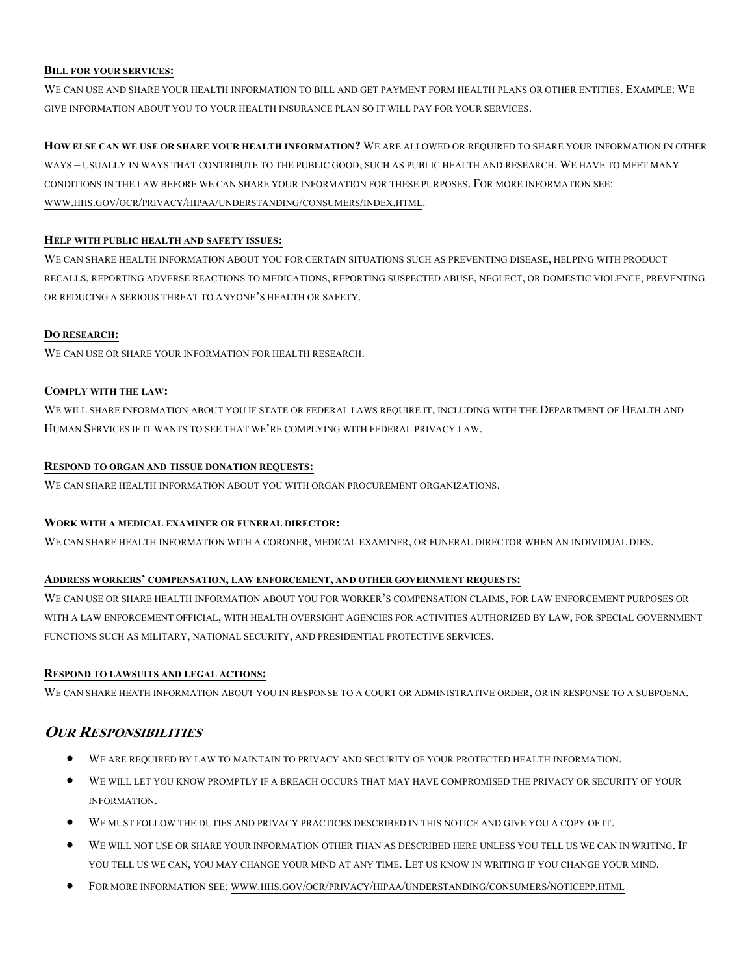#### **BILL FOR YOUR SERVICES:**

WE CAN USE AND SHARE YOUR HEALTH INFORMATION TO BILL AND GET PAYMENT FORM HEALTH PLANS OR OTHER ENTITIES. EXAMPLE: WE GIVE INFORMATION ABOUT YOU TO YOUR HEALTH INSURANCE PLAN SO IT WILL PAY FOR YOUR SERVICES.

**HOW ELSE CAN WE USE OR SHARE YOUR HEALTH INFORMATION?** WE ARE ALLOWED OR REQUIRED TO SHARE YOUR INFORMATION IN OTHER WAYS – USUALLY IN WAYS THAT CONTRIBUTE TO THE PUBLIC GOOD, SUCH AS PUBLIC HEALTH AND RESEARCH. WE HAVE TO MEET MANY CONDITIONS IN THE LAW BEFORE WE CAN SHARE YOUR INFORMATION FOR THESE PURPOSES. FOR MORE INFORMATION SEE: WWW.HHS.GOV/OCR/PRIVACY/HIPAA/[UNDERSTANDING](http://www.hhs.gov/ocr/privacy/hipaa/understanding/consumers/index.html)/CONSUMERS/INDEX.HTML.

#### **HELP WITH PUBLIC HEALTH AND SAFETY ISSUES:**

WE CAN SHARE HEALTH INFORMATION ABOUT YOU FOR CERTAIN SITUATIONS SUCH AS PREVENTING DISEASE, HELPING WITH PRODUCT RECALLS, REPORTING ADVERSE REACTIONS TO MEDICATIONS, REPORTING SUSPECTED ABUSE, NEGLECT, OR DOMESTIC VIOLENCE, PREVENTING OR REDUCING A SERIOUS THREAT TO ANYONE'S HEALTH OR SAFETY.

#### **DO RESEARCH:**

WE CAN USE OR SHARE YOUR INFORMATION FOR HEALTH RESEARCH.

#### **COMPLY WITH THE LAW:**

WE WILL SHARE INFORMATION ABOUT YOU IF STATE OR FEDERAL LAWS REQUIRE IT, INCLUDING WITH THE DEPARTMENT OF HEALTH AND HUMAN SERVICES IF IT WANTS TO SEE THAT WE'RE COMPLYING WITH FEDERAL PRIVACY LAW.

#### **RESPOND TO ORGAN AND TISSUE DONATION REQUESTS:**

WE CAN SHARE HEALTH INFORMATION ABOUT YOU WITH ORGAN PROCUREMENT ORGANIZATIONS.

#### **WORK WITH A MEDICAL EXAMINER OR FUNERAL DIRECTOR:**

WE CAN SHARE HEALTH INFORMATION WITH A CORONER, MEDICAL EXAMINER, OR FUNERAL DIRECTOR WHEN AN INDIVIDUAL DIES.

#### **ADDRESS WORKERS' COMPENSATION, LAW ENFORCEMENT, AND OTHER GOVERNMENT REQUESTS:**

WE CAN USE OR SHARE HEALTH INFORMATION ABOUT YOU FOR WORKER'S COMPENSATION CLAIMS, FOR LAW ENFORCEMENT PURPOSES OR WITH A LAW ENFORCEMENT OFFICIAL, WITH HEALTH OVERSIGHT AGENCIES FOR ACTIVITIES AUTHORIZED BY LAW, FOR SPECIAL GOVERNMENT FUNCTIONS SUCH AS MILITARY, NATIONAL SECURITY, AND PRESIDENTIAL PROTECTIVE SERVICES.

#### **RESPOND TO LAWSUITS AND LEGAL ACTIONS:**

WE CAN SHARE HEATH INFORMATION ABOUT YOU IN RESPONSE TO A COURT OR ADMINISTRATIVE ORDER, OR IN RESPONSE TO A SUBPOENA.

### **OUR RESPONSIBILITIES**

- WE ARE REQUIRED BY LAW TO MAINTAIN TO PRIVACY AND SECURITY OF YOUR PROTECTED HEALTH INFORMATION.
- WE WILL LET YOU KNOW PROMPTLY IF A BREACH OCCURS THAT MAY HAVE COMPROMISED THE PRIVACY OR SECURITY OF YOUR INFORMATION.
- WE MUST FOLLOW THE DUTIES AND PRIVACY PRACTICES DESCRIBED IN THIS NOTICE AND GIVE YOU A COPY OF IT.
- WE WILL NOT USE OR SHARE YOUR INFORMATION OTHER THAN AS DESCRIBED HERE UNLESS YOU TELL US WE CAN IN WRITING. IF YOU TELL US WE CAN, YOU MAY CHANGE YOUR MIND AT ANY TIME. LET US KNOW IN WRITING IF YOU CHANGE YOUR MIND.
- FOR MORE INFORMATION SEE: WWW.HHS.GOV/OCR/PRIVACY/HIPAA/[UNDERSTANDING](http://www.hhs.gov/ocr/privacy/hipaa/understanding/consumers/noticepp.html)/CONSUMERS/NOTICEPP.HTML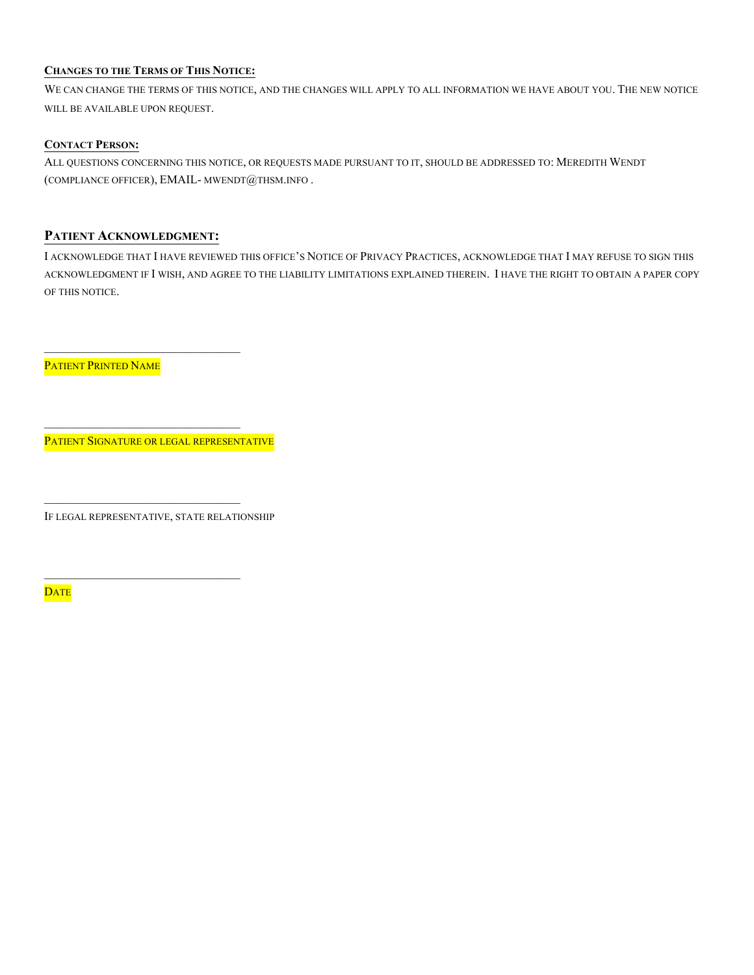#### **CHANGES TO THE TERMS OF THIS NOTICE:**

WE CAN CHANGE THE TERMS OF THIS NOTICE, AND THE CHANGES WILL APPLY TO ALL INFORMATION WE HAVE ABOUT YOU. THE NEW NOTICE WILL BE AVAILABLE UPON REQUEST.

#### **CONTACT PERSON:**

ALL QUESTIONS CONCERNING THIS NOTICE, OR REQUESTS MADE PURSUANT TO IT, SHOULD BE ADDRESSED TO: MEREDITH WENDT (COMPLIANCE OFFICER), EMAIL- MWENDT@THSM.INFO .

#### **PATIENT ACKNOWLEDGMENT:**

\_\_\_\_\_\_\_\_\_\_\_\_\_\_\_\_\_\_\_\_\_\_\_\_\_\_\_\_\_\_\_\_\_

\_\_\_\_\_\_\_\_\_\_\_\_\_\_\_\_\_\_\_\_\_\_\_\_\_\_\_\_\_\_\_\_\_

\_\_\_\_\_\_\_\_\_\_\_\_\_\_\_\_\_\_\_\_\_\_\_\_\_\_\_\_\_\_\_\_\_

\_\_\_\_\_\_\_\_\_\_\_\_\_\_\_\_\_\_\_\_\_\_\_\_\_\_\_\_\_\_\_\_\_

I ACKNOWLEDGE THAT I HAVE REVIEWED THIS OFFICE'S NOTICE OF PRIVACY PRACTICES, ACKNOWLEDGE THAT I MAY REFUSE TO SIGN THIS ACKNOWLEDGMENT IF I WISH, AND AGREE TO THE LIABILITY LIMITATIONS EXPLAINED THEREIN. I HAVE THE RIGHT TO OBTAIN A PAPER COPY OF THIS NOTICE.

PATIENT PRINTED NAME

PATIENT SIGNATURE OR LEGAL REPRESENTATIVE

IF LEGAL REPRESENTATIVE, STATE RELATIONSHIP

**DATE**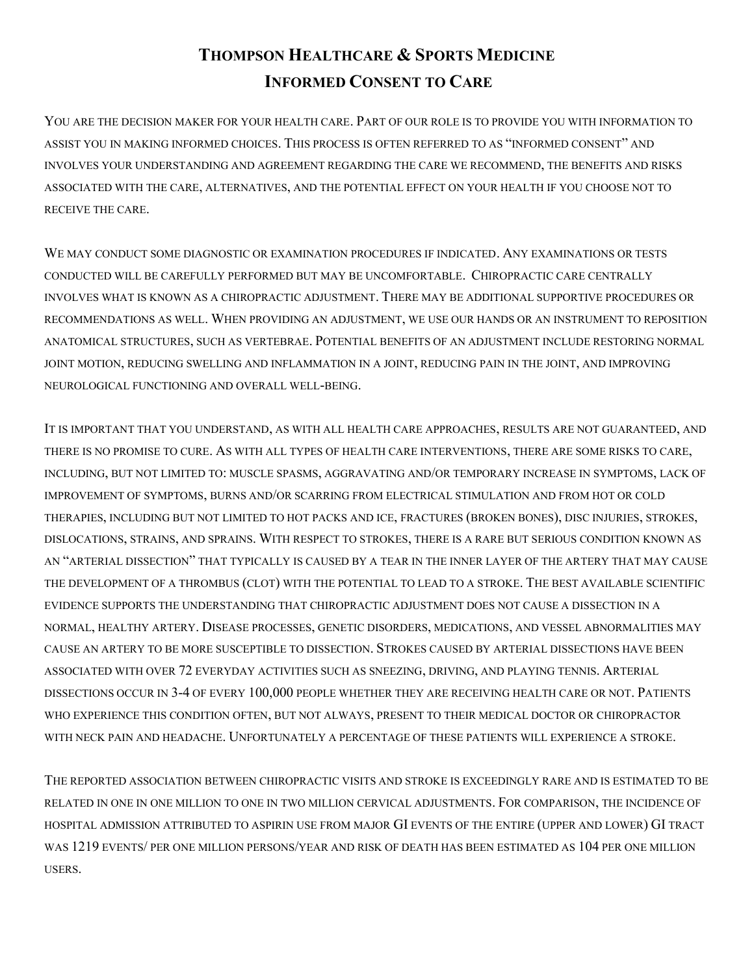## **THOMPSON HEALTHCARE &SPORTS MEDICINE INFORMED CONSENT TO CARE**

YOU ARE THE DECISION MAKER FOR YOUR HEALTH CARE. PART OF OUR ROLE IS TO PROVIDE YOU WITH INFORMATION TO ASSIST YOU IN MAKING INFORMED CHOICES. THIS PROCESS IS OFTEN REFERRED TO AS "INFORMED CONSENT" AND INVOLVES YOUR UNDERSTANDING AND AGREEMENT REGARDING THE CARE WE RECOMMEND, THE BENEFITS AND RISKS ASSOCIATED WITH THE CARE, ALTERNATIVES, AND THE POTENTIAL EFFECT ON YOUR HEALTH IF YOU CHOOSE NOT TO RECEIVE THE CARE.

WE MAY CONDUCT SOME DIAGNOSTIC OR EXAMINATION PROCEDURES IF INDICATED. ANY EXAMINATIONS OR TESTS CONDUCTED WILL BE CAREFULLY PERFORMED BUT MAY BE UNCOMFORTABLE. CHIROPRACTIC CARE CENTRALLY INVOLVES WHAT IS KNOWN AS A CHIROPRACTIC ADJUSTMENT. THERE MAY BE ADDITIONAL SUPPORTIVE PROCEDURES OR RECOMMENDATIONS AS WELL. WHEN PROVIDING AN ADJUSTMENT, WE USE OUR HANDS OR AN INSTRUMENT TO REPOSITION ANATOMICAL STRUCTURES, SUCH AS VERTEBRAE. POTENTIAL BENEFITS OF AN ADJUSTMENT INCLUDE RESTORING NORMAL JOINT MOTION, REDUCING SWELLING AND INFLAMMATION IN A JOINT, REDUCING PAIN IN THE JOINT, AND IMPROVING NEUROLOGICAL FUNCTIONING AND OVERALL WELL-BEING.

IT IS IMPORTANT THAT YOU UNDERSTAND, AS WITH ALL HEALTH CARE APPROACHES, RESULTS ARE NOT GUARANTEED, AND THERE IS NO PROMISE TO CURE. AS WITH ALL TYPES OF HEALTH CARE INTERVENTIONS, THERE ARE SOME RISKS TO CARE, INCLUDING, BUT NOT LIMITED TO: MUSCLE SPASMS, AGGRAVATING AND/OR TEMPORARY INCREASE IN SYMPTOMS, LACK OF IMPROVEMENT OF SYMPTOMS, BURNS AND/OR SCARRING FROM ELECTRICAL STIMULATION AND FROM HOT OR COLD THERAPIES, INCLUDING BUT NOT LIMITED TO HOT PACKS AND ICE, FRACTURES (BROKEN BONES), DISC INJURIES, STROKES, DISLOCATIONS, STRAINS, AND SPRAINS. WITH RESPECT TO STROKES, THERE IS A RARE BUT SERIOUS CONDITION KNOWN AS AN "ARTERIAL DISSECTION" THAT TYPICALLY IS CAUSED BY A TEAR IN THE INNER LAYER OF THE ARTERY THAT MAY CAUSE THE DEVELOPMENT OF A THROMBUS (CLOT) WITH THE POTENTIAL TO LEAD TO A STROKE. THE BEST AVAILABLE SCIENTIFIC EVIDENCE SUPPORTS THE UNDERSTANDING THAT CHIROPRACTIC ADJUSTMENT DOES NOT CAUSE A DISSECTION IN A NORMAL, HEALTHY ARTERY. DISEASE PROCESSES, GENETIC DISORDERS, MEDICATIONS, AND VESSEL ABNORMALITIES MAY CAUSE AN ARTERY TO BE MORE SUSCEPTIBLE TO DISSECTION. STROKES CAUSED BY ARTERIAL DISSECTIONS HAVE BEEN ASSOCIATED WITH OVER 72 EVERYDAY ACTIVITIES SUCH AS SNEEZING, DRIVING, AND PLAYING TENNIS. ARTERIAL DISSECTIONS OCCUR IN 3-4 OF EVERY 100,000 PEOPLE WHETHER THEY ARE RECEIVING HEALTH CARE OR NOT. PATIENTS WHO EXPERIENCE THIS CONDITION OFTEN, BUT NOT ALWAYS, PRESENT TO THEIR MEDICAL DOCTOR OR CHIROPRACTOR WITH NECK PAIN AND HEADACHE. UNFORTUNATELY A PERCENTAGE OF THESE PATIENTS WILL EXPERIENCE A STROKE.

THE REPORTED ASSOCIATION BETWEEN CHIROPRACTIC VISITS AND STROKE IS EXCEEDINGLY RARE AND IS ESTIMATED TO BE RELATED IN ONE IN ONE MILLION TO ONE IN TWO MILLION CERVICAL ADJUSTMENTS. FOR COMPARISON, THE INCIDENCE OF HOSPITAL ADMISSION ATTRIBUTED TO ASPIRIN USE FROM MAJOR GI EVENTS OF THE ENTIRE (UPPER AND LOWER) GI TRACT WAS 1219 EVENTS/ PER ONE MILLION PERSONS/YEAR AND RISK OF DEATH HAS BEEN ESTIMATED AS 104 PER ONE MILLION USERS.